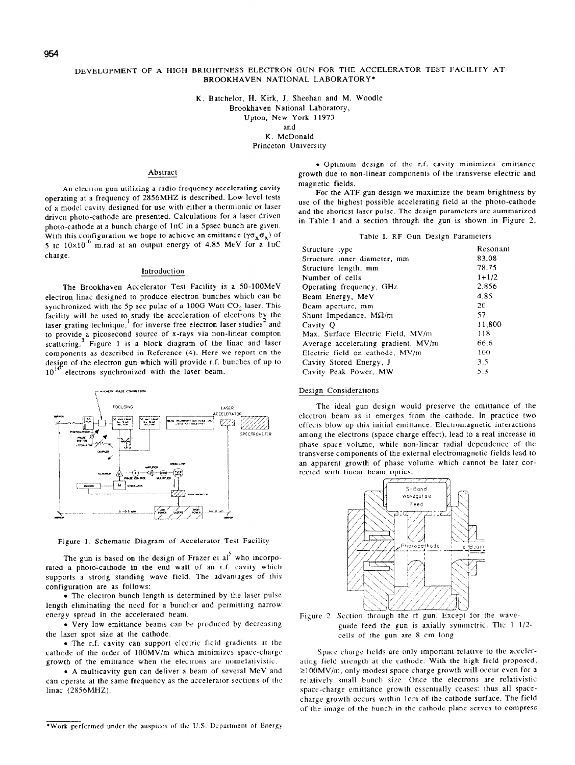# DEVELOPMENT OF A HIGH BRIGHTNESS ELECTRON GUN FOR THE ACCELERATOR TEST FACILITY AT BROOKHAVEN NATIONAL LABORATORY\*

K. Batchelor. H. Kirk, J. Sheehan and M. Woodle

Brookhaven National Laboratory,

Upton, New York 11973

and

K. McDonald Princeton University

#### Abstract

An electron gun utilizing a radio frequency accelerating cavity operating at a frequency of 2856MHZ is described. Low level tests of a model cavity designed for use with either a thermionic or laser driven photo-cathode are presented. Calculations for a laser driven photo-cathode at a bunch charge of lnC in a Spsec bunch are given. With this configuration we hope to achieve an emittance ( $\gamma \sigma_x \sigma_x$ ) of 5 to  $10\times10^{-6}$  m.rad at an output energy of 4.85 MeV for a  $1nC$ charge.

# introduction

The Brookhaven Accelerator Test Facility is a SO-IOOMeV electron linac designed to produce electron bunches which can be synchronized with the 5p sec pulse of a 100G Watt  $CO<sub>2</sub>$  laser. This facility will be used to study the acceleration of electrons by the laser grating technique,<sup>1</sup> for inverse free electron laser studies<sup>2</sup> and to provide a picosecond source of x-rays via non-linear compton scattering.<sup>3</sup> Figure 1 is a block diagram of the linac and laser components as described in Reference (4). Here we report on the design of the electron gun which will provide r.f. bunches of up to  $10^{10}$ 10<sup>10</sup> electrons synchronized with the laser beam.



Figure 1. Schematic Diagram of Accelerator Test Facility

The gun is based on the design of Frazer et  $a^5$  who incorporated a photo-cathode in the end wall of an r.f. cavity which supports a strong standing wave field. The advantages of this configuration are as follows:

. The electron bunch length IS determined by the laser pulse length eliminating the need for a buncher and permitting narrow energy spread in the accelerated beam.

• Very low emittance beams can be produced by decreasing the laser spot size at the cathode.

• The r.f. cavity can support electric field gradients at the cathode of the order of 100MV/m which minimizes space-charge growth of the emittance when the electrons are nonrelarivistic.

<sup>l</sup>A multicavity gun can deliver a beam of several MeV and can operate at the same frequency as the accelerator sections of the linac (2856MHZ).

· Optimum design of the r.f. cavity minimizes emittance growth due to non-linear components of the transverse electric and magnetic fields.

For the ATF gun design we maximize the beam brightness by use of the highest possible accelerating field at the photo-cathode and the shortest laser pulse. The design parameters are summarired in Table I and a section through the gun is shown in Figure 2.

#### Table I. RF Gun Design Parameters

| Structure type                      | Resonant  |
|-------------------------------------|-----------|
| Structure inner diameter, mm        | 83.08     |
|                                     | 78.75     |
| Structure length, mm                |           |
| Number of cells                     | $1 + 1/2$ |
| Operating frequency, GHz            | 2.856     |
| Beam Energy, MeV                    | 4.85      |
| Beam aperture, mm                   | 20        |
| Shunt Impedance, $M\Omega/m$        | 57        |
| Cavity Q                            | 11.800    |
| Max. Surface Electric Field, MV/m   | 118       |
| Average accelerating gradient, MV/m | 66.6      |
| Electric field on cathode, MV/m     | 100       |
| Cavity Stored Energy, J             | 3.5       |
| Cavity Peak Power, MW               | 5.3       |
|                                     |           |

# Design Considerations

The ideal gun design would preserve the emltiance of the electron beam as it emerges from the cathode. In practice two effects blow up this initial emittance. Electromagnetic interactions among the electrons (space charge effect). lead to a real increase in phase space volume, while non-linear radial dependence of the transverse components of the external electromagnetic fields lead to an apparent growth of phase volume which cannot be later corrected with linear beam optics.



Figure 2. Section through the rf gun. Except for the waveguide feed the gun is axially symmetric. The 1 l/2 cells of rhe gun are 8 cm long.

Space charge fields are only important relative to the accelerating field strength at the cathode. With the high field proposed, >I OOMV/m, only modest space charge growth will occur even for a relatively small bunch size. Once the electrons are relativistic space-charge emittance growth essentially ceases: thus all spacecharge growth occurs within lcm of the cathode surface. The field of the image of the bunch in the cathode plane serves to compress

\*Work performed under the auspices of the U.S. Department of Energy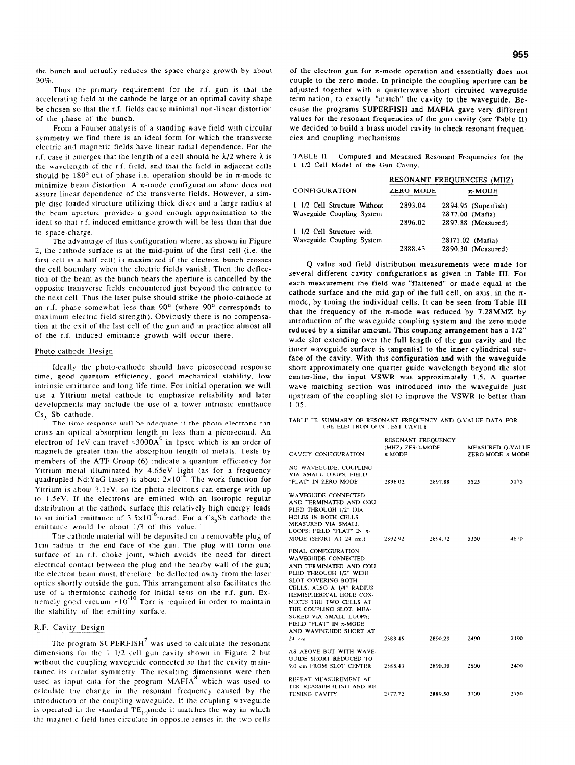the bunch and actually reduces the space-charge growth by about 30%.

Thus the primary requirement for the r-f. gun is that the accelerating field at the cathode he large or an optimal cavity shape be chosen so that the r.f. fields cause minimal non-linear distortion of' the phase of the bunch.

From a Fourier analysis of a standing wave field with circular symmetry we find there is an ideal form for which the transverse electric and magnetic fields have linear radial dependence. For the r.f. case it emerges that the length of a cell should be  $\lambda/2$  where  $\lambda$  is the wavelength of the r.f. field, and that the field in adjacent cells should be  $180^{\circ}$  out of phase i.e. operation should be in  $\pi$ -mode to minimize beam distortion. A  $\pi$ -mode configuration alone does not assure linear dependence of the transverse fields. However, a simple disc loaded structure utilizing thick discs and a large radius at the beam aperture provides a good enough approximation to the ideal so that r.f. induced emittance growth will be less than that due to space-charge.

The advantage of this configuration where, as shown in Figure 2, the cathode surface is at the mid-point of the first cell (i.e. the first cell is a half cell) is maximized if the electron bunch crosses the cell boundary when the electric fields vanish. Then the deflection of the beam as the bunch nears the aperture is cancelled by the opposite transverse fields encountered just beyond the entrance to the next cell. Thus the laser pulse should strike the photo-cathode at an r.f. phase somewhat less than 90° (where 90° corresponds to maximum electric field strength). Obviously there is no compensation at the exit of the last cell of the gun and in practice almost all of the r.f. induced emittance growth will occur there.

### Photo-cathode Design

Ideally the photo-cathode should have picosecond response time, good quantum efficiency, good mechanical stability, low intrinsic emittance and long life time. For initial operation we will use a Yttrium metal cathode to emphasize reliability and later developments may include the use of a lower intrinsic emittance Cs, Sb cathode.

The time response will be adequate if the photo electrons can cross an optical absorption length in less than a picosecond. An electron of 1eV can travel  $\approx 3000A^0$  in 1psec which is an order of magnetude greater than the absorption length of metals. Tests by members of the ATF Group (6) indicate a quantum efficiency for Yttrium metal illuminated by 4.65eV light (as for a frequency quadrupled Nd:YaG laser) is about  $2\times10^{-4}$ . The work function for Yttrium is about 3.leV, so the photo electrons can emerge with up to l.SeV. If the electrons are emitted with an isotropic regular distribution at the cathode surface this relatively high energy leads to an initial emittance of  $3.5 \times 10^{-6}$ m.rad. For a Cs<sub>3</sub>Sb cathode the emittance would be about 1/3 of this value.

The cathode material will he deposited on a removable plug of Icm radius in the end face of the gun. The plug will form one surface of an r.f. choke joint, which avoids the need for direct electrical contact between the plug and the nearby wall of the gun; the electron beam must, therefore, be deflected away from the laser optics shortly outside the gun. This arrangement also facilitates the use of a thermionic cathode for initial tests on the r.f. gun. Extremely good vacuum  $\approx 10^{-10}$  Torr is required in order to maintain the stability of the emitting surface.

# R.F. Cavity Design

The program SUPERFISH' was used to calculate the resonant dimensions for the  $1 \frac{1}{2}$  cell gun cavity shown in Figure 2 but without the coupling wavcgulde connected so that the cavity maintained its circular symmetry. The resulting dimensions were then used as input data for the program MAFIA<sup>8</sup> which was used to calculate the change in the resonant frequency caused by the introduction of the coupling waveguide. If the coupling waveguide is operated in the standard  $TE_{10}$ mode it matches the way in which the magnetic field lines circulate in opposite senses in the two cells of the electron gun for  $\pi$ -mode operation and essentially does not couple to the zero mode. In principle the coupling aperture can be adjusted together with a quarterwave short circuited waveguide termination, to exactly "match" the cavity to the waveguide. Because the programs SUPERFISH and MAFIA gave very different values for the resonant frequencies of the gun cavity (see Table II) we decided to build a brass model cavity to check resonant frequencies and coupling mechanisms.

TABLE I1 - Computed and Meausred Resonant Frequencies for the I l/2 Cell Model of the Gun Cavity.

|                                   |         | RESONANT FREQUENCIES (MHZ) |  |
|-----------------------------------|---------|----------------------------|--|
| <b>CONFIGURATION</b><br>ZERO MODE |         | $\pi$ -MODE                |  |
| 1 1/2 Cell Structure Without      | 2893.04 | 2894.95 (Superfish)        |  |
| Waveguide Coupling System         |         | 2877.00 (Mafia)            |  |
|                                   | 2896.02 | 2897.88 (Measured)         |  |
| 1 1/2 Cell Structure with         |         |                            |  |
| Waveguide Coupling System         |         | 28171.02 (Mafia)           |  |
|                                   | 2888.43 | 2890.30 (Measured)         |  |

Q value and field distribution measurements were made for several different cavity configurations as given in Table III. For each measurement the field was "flattened" or made equal at the cathode surface and the mid gap of the full cell, on axis, in the  $\pi$ mode, by tuning the individual cells. It can be seen from Table III that the frequency of the  $\pi$ -mode was reduced by 7.28MMZ by introduction of the waveguide coupling system and the zero mode reduced by a similar amount. This coupling arrangement has a I/2" wide slot extending over the full length of the gun cavity and the inner waveguide surface is tangential to the inner cylindrical surface of the cavity. With this configuration and with the waveguide short approximately one quarter guide wavelength beyond the slot center-line, the input VSWR was approximately 1.5. A quarter wave matching section was introduced into the waveguide just upstream of the coupling slot to improve the VSWR to better than 1.05.

TABLE III. SUMMARY OF RESONANT FREQUENCY AND Q-VALUE DATA FOR THE ELECTRON GUN TEST CAVITY

| CAVITY CONFIGURATION                                                                                                                                                                                                                                                                                                              | RESONANT FREQUENCY<br>(MHZ) ZERO-MODE<br>$\pi$ -MODE |         | MEASURED O-VALUE<br>ZERO-MODE R-MODE |      |
|-----------------------------------------------------------------------------------------------------------------------------------------------------------------------------------------------------------------------------------------------------------------------------------------------------------------------------------|------------------------------------------------------|---------|--------------------------------------|------|
| NO WAVEGUIDE, COUPLING<br>VIA SMALL LOOPS; FIELD<br>"FLAT" IN ZERO MODE                                                                                                                                                                                                                                                           | 2896.02                                              | 2897.88 | 5525                                 | 5175 |
| <b>WAVEGUIDE CONNECTED</b><br>AND TERMINATED AND COU-<br>PLED THROUGH 1/2" DIA.<br>HOLES IN BOTH CELLS.<br>MEASURED VIA SMALL<br>LOOPS: FIELD "FLAT" IN $\pi$ .<br>MODE (SHORT AT 24 cm.)                                                                                                                                         | 2892.92                                              | 2894.72 | 5350                                 | 4670 |
| FINAL CONFIGURATION<br>WAVEGUIDE CONNECTED<br>AND TERMINATED AND COU-<br>PLED THROUGH 1/2" WIDE<br><b>SLOT COVERING BOTH</b><br>CELLS. ALSO A 1/4" RADIUS<br>HEMISPHERICAL HOLE CON-<br>NECTS THE TWO CELLS AT<br>THE COUPLING SLOT. MEA-<br>SURED VIA SMALL LOOPS;<br>FIELD "FLAT" IN R-MODE<br>AND WAVEGUIDE SHORT AT<br>24 cm. | 2888.45                                              | 2890.29 | 2490                                 | 2190 |
| AS ABOVE BUT WITH WAVE-<br>GUIDE SHORT REDUCED TO<br>9.0 cm FROM SLOT CENTER                                                                                                                                                                                                                                                      | 2888.43                                              | 2890.30 | 2600                                 | 2400 |
| REPEAT MEASUREMENT AF-<br>TER REASSEMBLING AND RE-<br><b>TUNING CAVITY</b>                                                                                                                                                                                                                                                        | 2877.72                                              | 2889.50 | 3700                                 | 2750 |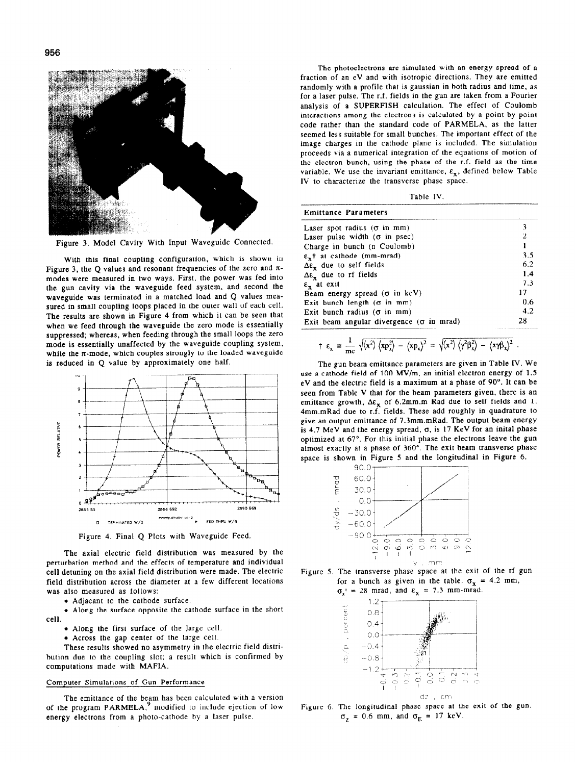

Figure 3. Model Cavity With Input Waveguide Connected.

With this final coupling configuration, which is shown in Figure 3, the Q values and resonant frequencies of the zero and  $\pi$ modes were measured in two ways. First, the power was fed into the gun cavity via the waveguide feed system, and second the waveguide was terminated in a matched load and Q values measured in small coupling loops placed in the outer wall of each cell. The results are shown in Figure 4 from which it can be seen that when we feed through the waveguide the zero mode is essentially suppressed; whereas, when feeding through the small loops the zero mode is essentially unaffected by the waveguide coupling system, while the  $\pi$ -mode, which couples strongly to the loaded waveguide is reduced in Q value by approximately one half.



Figure 4. Final Q Plots with Waveguide Feed.

The axial electric field distribution was measured by the perturbation method and the effects of temperature and individual cell detuning on the axial field distribution were made. The electric field distribution across the diameter at a few different locations was also measured as follows:

• Adjacant to the cathode surface.

. Along the surface opposite the cathode surface in the short cell.

- . Along the first surface of the large cell.
- . Across the gap center of the large cell.

These results showed no asymmetry in the electric field distribution due to the coupling slot; a result which is confirmed by computations made with MAFIA.

## Computer Simulations of Gun Performance

The emitlance of the beam has been calculated with a version of the program PARMELA,<sup>9</sup> modified to include ejection of low energy electrons from a photo-cathode by a laser pulse.

The photoelectrons are simulated with an energy spread of a fraction of an eV and with isotropic directions. They are emitted randomly with a profile that is gaussian in both radius and time, as for a laser pulse. The r.f. fields in the gun are taken from a Fourier analysis of a SUPERFISH calculation. The effect of Coulomb interactions among the electrons is calculated by a point-by-point code rather than the standard code of PARMELA, as the latter seemed less suitable for small bunches. The important effect of the image charges in the cathode plane is included. The simulation proceeds via a numerical integration of the equations of motion of the electron bunch. using the phase of the r.f. field as the time variable. We use the invariant emittance,  $\varepsilon_x$ , defined below Table IV to characterize the transverse phase space.

|  | Table | -IV. |  |
|--|-------|------|--|
|--|-------|------|--|

--

| 3   |
|-----|
| 2   |
|     |
| 3.5 |
| 6.2 |
| 1.4 |
| 7.3 |
| 17  |
| 0.6 |
| 4.2 |
| 28  |
|     |

$$
\uparrow \varepsilon_x = \frac{1}{mc} \sqrt{\langle x^2 \rangle \langle xp_x^2 \rangle - \langle xp_x \rangle^2} = \sqrt{\langle x^2 \rangle \langle \gamma^2 \beta_x^2 \rangle - \langle xp_x^2 \rangle^2}
$$

The gun beam emittance parameters are given in Table IV. We use a cathode field of 100 MV/m, an initial electron energy of 1.5 eV and the electric field is a maximum at a phase of 90". It can be seen from Table V that for the beam parameters given, there is an emittance growth,  $\Delta \varepsilon_x$  of 6.2mm.m Rad due to self fields and 1. 4mm.mRad due to r.f. fields. These add roughly in quadrature to give an output emittance of 7.3mm.mRad. The output beam energy is 4.7 MeV and the energy spread,  $\sigma$ , is 17 KeV for an inital phase optimized at 67'. For this initial phase the electrons leave the gun almost exactly at a phase of 360". The exit beam transverse phase space is shown in Figure 5 and the longitudinal in Figure 6.







Figure 6. The longitudinal phase space at the exit of the gun.  $\sigma_z$  = 0.6 mm, and  $\sigma_E$  = 17 keV.